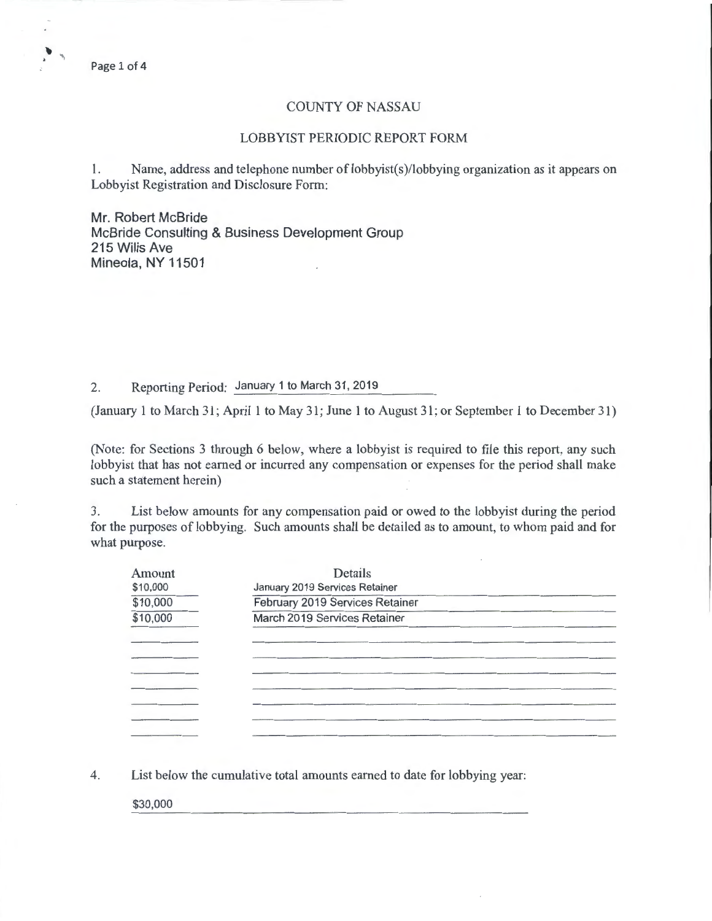Page 1 of 4

 $\cdot$ 

## COUNTY OF NASSAU

## LOBBYIST PERIODIC REPORT FORM

1. Name, address and telephone number of lobbyist(s)/lobbying organization as it appears on Lobbyist Registration and Disclosure Form:

Mr. Robert McBride McBride Consulting & Business Development Group 215 Wilis Ave Mineola, NY 11501

2. Reporting Period: January 1 to March 31, 2019

(January 1 to March 31; April 1 to May 31; June 1 to August 31; or September 1 to December 31)

(Note: for Sections 3 through 6 below, where a lobbyist is required to file this report, any such lobbyist that has not earned or incurred any compensation or expenses for the period shall make such a statement herein)

3. List below amounts for any compensation paid or owed to the lobbyist during the period for the purposes of lobbying. Such amounts shall be detailed as to amount, to whom paid and for what purpose.

| Amount   | Details                         |  |
|----------|---------------------------------|--|
| \$10,000 | January 2019 Services Retainer  |  |
| \$10,000 | February 2019 Services Retainer |  |
| \$10,000 | March 2019 Services Retainer    |  |
|          |                                 |  |
|          |                                 |  |
|          |                                 |  |
|          |                                 |  |
|          |                                 |  |
|          |                                 |  |
|          |                                 |  |
|          |                                 |  |

4. List below the cumulative total amounts earned to date for lobbying year:

\$30,000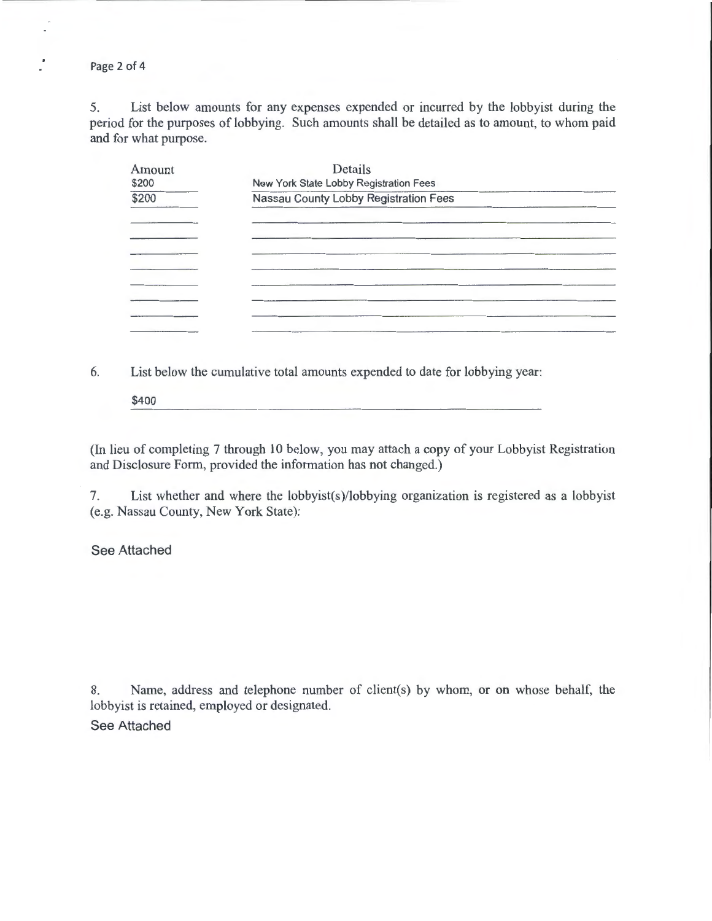Page 2 of 4

 $\frac{1}{\epsilon}$ 

5. List below amounts for any expenses expended or incurred by the lobbyist during the period for the purposes of lobbying. Such amounts shall be detailed as to amount, to whom paid and for what purpose.

| Amount | Details                                |  |
|--------|----------------------------------------|--|
| \$200  | New York State Lobby Registration Fees |  |
| \$200  | Nassau County Lobby Registration Fees  |  |
|        |                                        |  |
|        |                                        |  |
|        |                                        |  |
|        |                                        |  |
|        |                                        |  |
|        |                                        |  |
|        |                                        |  |
|        |                                        |  |
|        |                                        |  |
|        |                                        |  |
|        |                                        |  |

6. List below the cumulative total amounts expended to date for lobbying year:

\$400

(In lieu of completing 7 through 10 below, you may attach a copy of your Lobbyist Registration and Disclosure Form, provided the information has not changed.)

7. List whether and where the lobbyist(s)/lobbying organization is registered as a lobbyist (e.g. Nassau County, New York State):

See Attached

8. Name, address and telephone number of client(s) by whom, or on whose behalf, the lobbyist is retained, employed or designated.

See Attached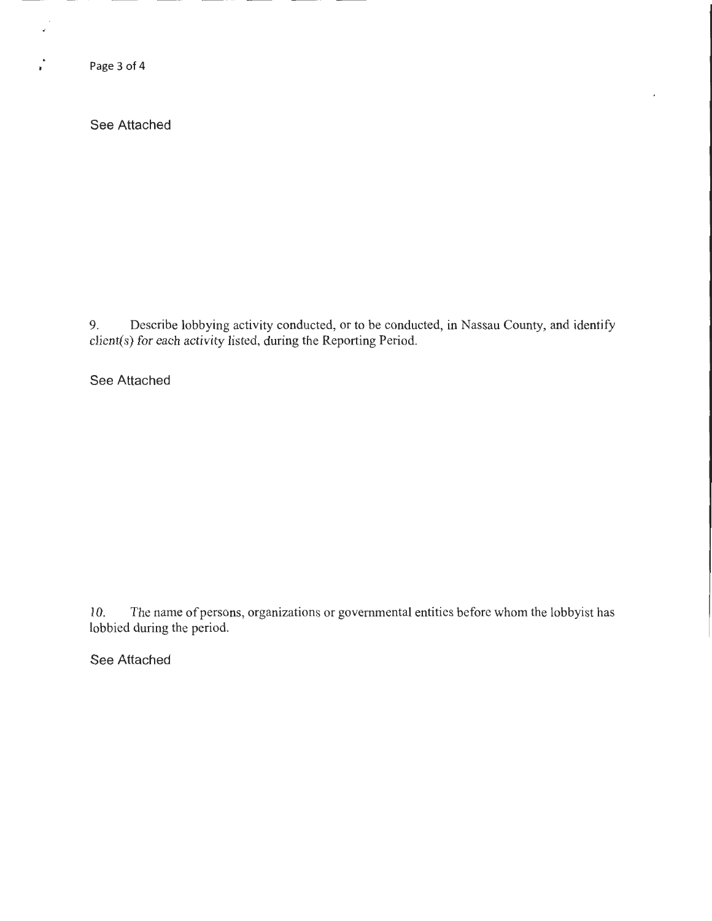Page 3 of 4

 $\epsilon$ 

 $\mathcal{L}$ 

See Attached

9. Describe lobbying activity conducted, or to be conducted, in Nassau County, and identify client(s) for each activity listed, during the Reporting Period.

See Attached

10. The name of persons, organizations or governmental entities before whom the lobbyist has lobbied during the period.

See Attached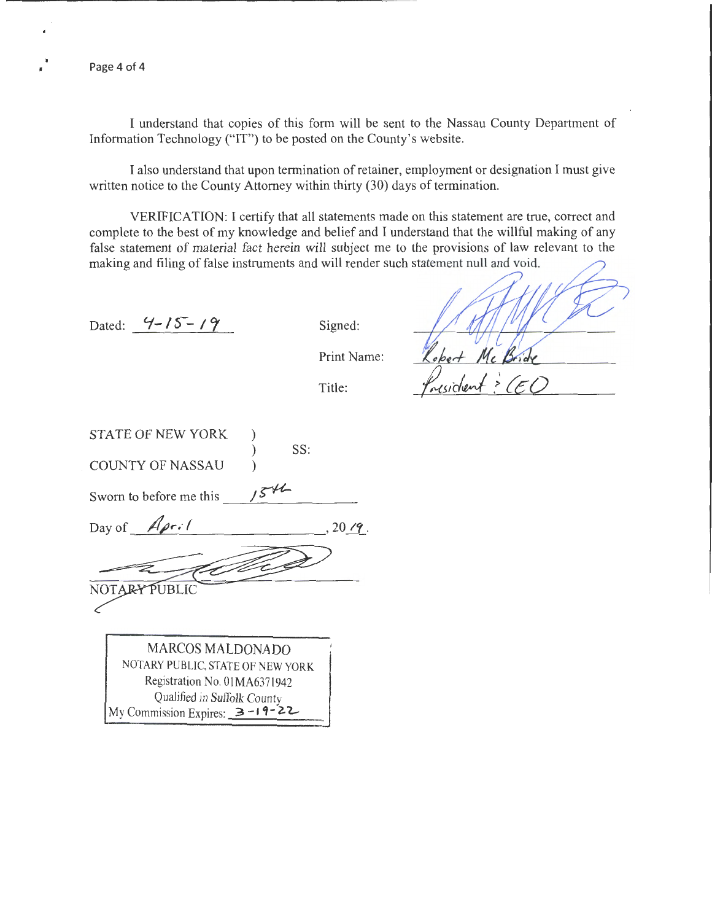Page 4 of 4

I understand that copies of this form will be sent to the Nassau County Department of Information Technology ("IT") to be posted on the County's website.

I also understand that upon termination of retainer, employment or designation I must give written notice to the County Attorney within thirty (30) days of termination.

VERIFICATION: I certify that all statements made on this statement are true, correct and complete to the best of my knowledge and belief and I understand that the willful making of any false statement of material fact herein will subject me to the provisions of law relevant to the making and filing of false instruments and will render such statement null and void.

Dated:  $4 - 15 - 19$ 

Signed:

Print Name:

Title:

STATE OF NEW YORK ) ) SS: COUNTY OF NASSAU ) Sworn to before me this Day of April  $20 \,$ *i* $\,$ . NOTARY PUBLIC MARCOS MALDONADO NOTARY PUBLIC, STATE OF NEW YORK Registration No. 01MA6371942

Qualified in Suffolk County My Commission Expires:  $3 - 19 - 22$ .

)<br>usident : CEO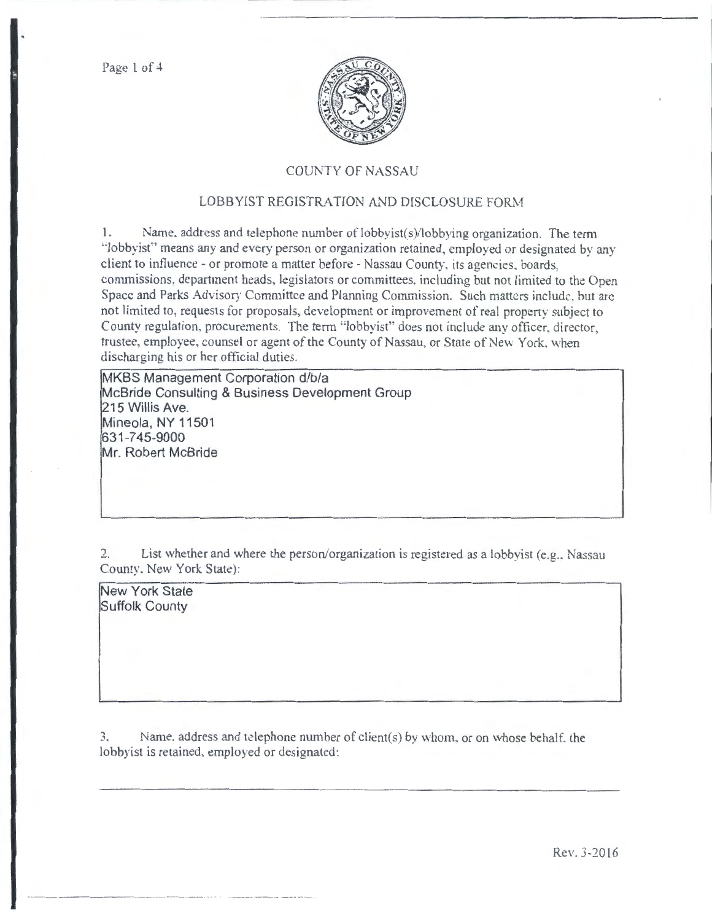Page 1 of 4



## COUNTY OF NASSAU

## LOBBYIST REGISTRATION AND DISCLOSURE FORM

1. Name. address and telephone number of  $\text{lobbyist}(s)/\text{lobbying organization}$ . The term ··Jobbyist" means any and every person or organization retained, employed or designated by any client to influence -or promote a matter before- Nassau County, its agencies. boards, commissions, department heads, legislators or committees, including but not limited to the Open Space and Parks Advisory Committee and Planning Commission. Such matters include. but arc not limited to, requests for proposals, development or improvement of real property subject to County regulation. procurements. The term "lobbyist" does not include any officer, director, trustee, employee, counsel or agent of the County of Nassau, or State of New York, when discharging his or her official duties.

MKBS Management Corporation d/b/a McBride Consulting & Business Development Group 215 Willis Ave. Mineola, NY 11501 631-745-9000 Mr. Robert McBride

2. List whether and where the person/organization is registered as a lobbyist (e.g., Nassau County. New York State):

New York State Suffolk County

3. Name. address and telephone number of client(s) by whom, or on whose behalf. the lobbyist is retained, employed or designated: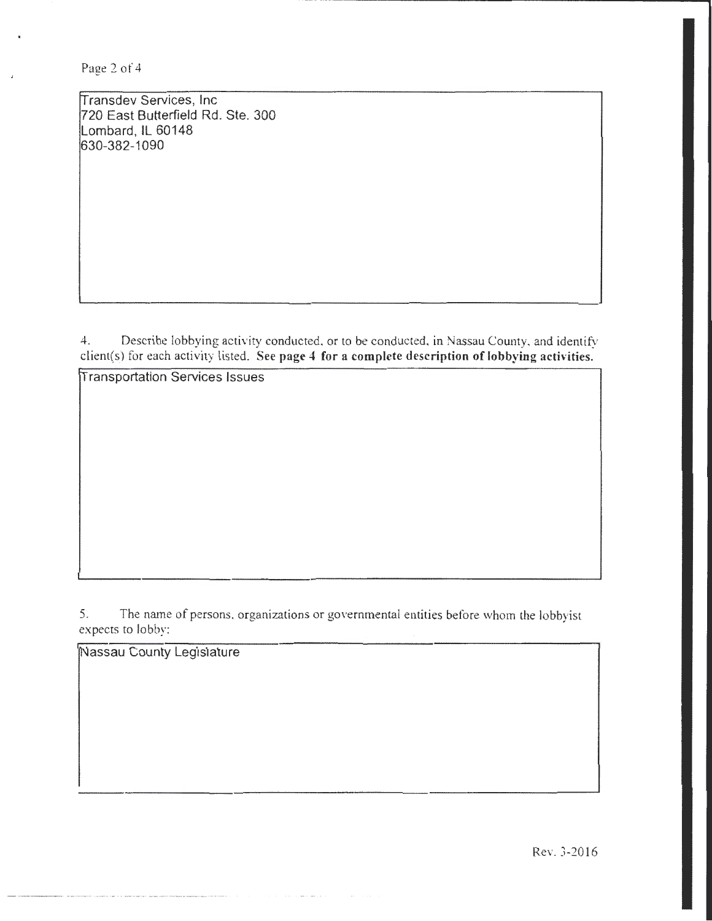Page 2 of 4

ransdev Services, Inc 720 East Butterfield Rd. Ste. 300 Lombard, IL 60148 630-382-1090

4. Describe lobbying activity conducted. or to be conducted. in Nassau County. and identify client(s) for each activity listed. See page 4 for a complete description of lobbying activities.

ransportation Services Issues

5. The name of persons. organizations or governmental entities before whom the lobbyist expects to lobby:

Massau County Legislature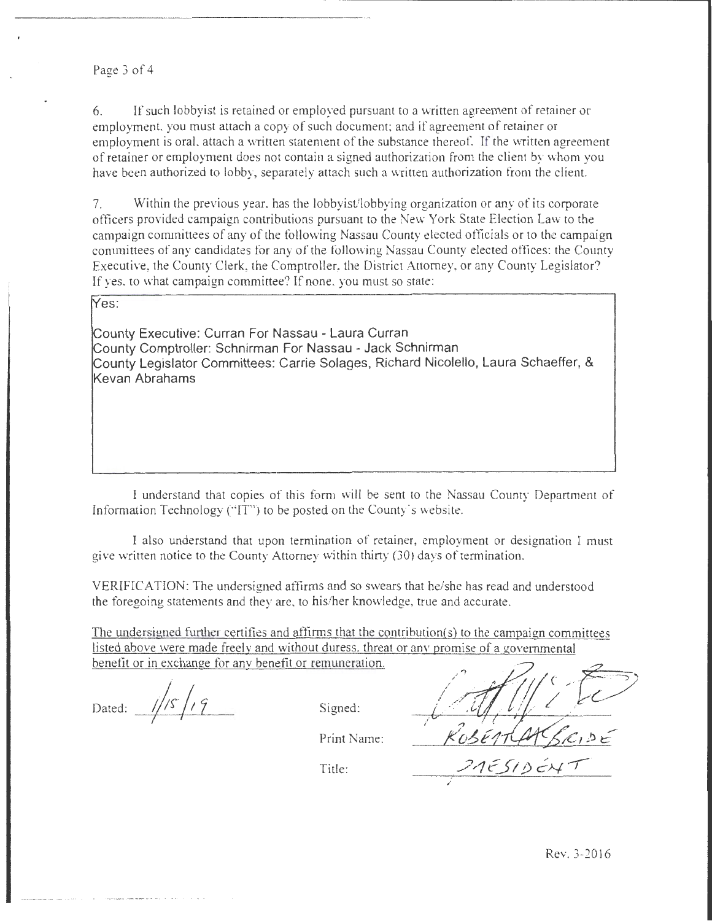Page 3 of 4

6. If such lobbyist is retained or employed pursuant to a written agreement of retainer or employment. you must attach a copy of such document; and if agreement of retainer or employment is oral, attach a written statement of the substance thereof. If the written agreement of retainer or employment does not contain a signed authorization from the client by "vhom you have been authorized to lobby, separately attach such a written authorization from the client.

7. Within the previous year. has the lobbyist/lobbying organization or any of its corporate officers provided campaign contributions pursuant to the New York State Election law to the campaign committees of any of the following Nassau County elected officials or to the campaign committees of any candidates for any of the following Nassau County elected offices: the County Executive, the County Clerk, the Comptroller, the District Attorney, or any County Legislator? If yes. to what campaign committee? If none, you must so state:

Yes:

County Executive: Curran For Nassau - Laura Curran County Comptroller: Schnirman For Nassau - Jack Schnirman County Legislator Committees: Carrie Solages, Richard Nicolello, Laura Schaeffer, & Kevan Abrahams

I understand that copies of this form will be sent to the Nassau County Department of Information Technology (" $IT$ ") to be posted on the County's website.

I also understand that upon termination of retainer, employment or designation I must give written notice to the County Attorney within thirty (30) days of termination.

VERIFICATION: The undersigned affirms and so swears that he/she has read and understood the foregoing statements and they are, to his/her knowledge, true and accurate.

The undersigned further certifies and aftirms that the contribution(s) to the campaign committees listed above were made freely and without duress. threat or anv promise of a governmental benefit or in exchange for anv benefit or remuneration.

Dated:  $\frac{1}{s}$   $\sqrt{s}$   $\sqrt{s}$   $\sqrt{s}$  Signed:

Print Name:

Title:

 $KoSETIAKSIC,$ /rJ~JI *!J* eN -r·

/